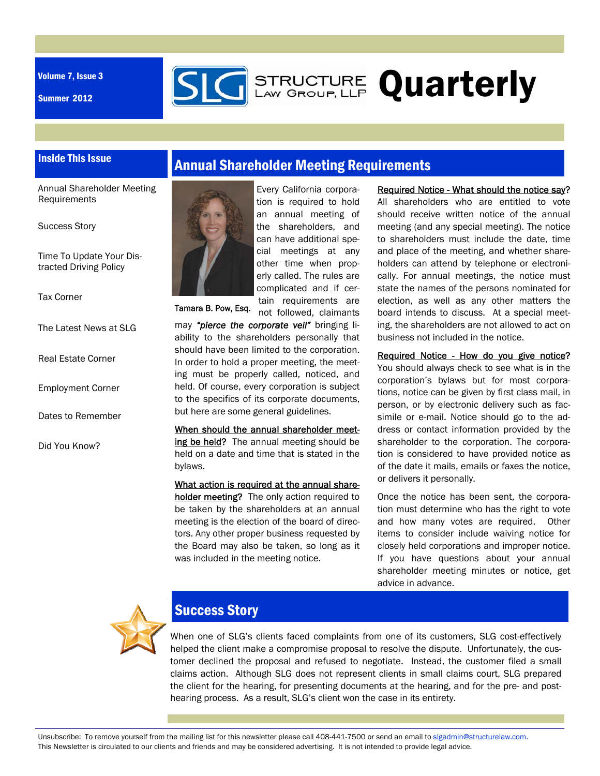Volume 7, Issue 3

Summer 2012



# **STRUCTURE Quarterly**

#### Inside This Issue

Annual Shareholder Meeting Requirements

Success Story

Time To Update Your Distracted Driving Policy

Tax Corner

The Latest News at SLG

Real Estate Corner

Employment Corner

Dates to Remember

Did You Know?





Every California corporation is required to hold an annual meeting of the shareholders, and can have additional special meetings at any other time when properly called. The rules are complicated and if certain requirements are

not followed, claimants Tamara B. Pow, Esq.

may *"pierce the corporate veil"* bringing liability to the shareholders personally that should have been limited to the corporation. In order to hold a proper meeting, the meeting must be properly called, noticed, and held. Of course, every corporation is subject to the specifics of its corporate documents, but here are some general guidelines.

When should the annual shareholder meeting be held? The annual meeting should be held on a date and time that is stated in the bylaws.

What action is required at the annual shareholder meeting? The only action required to be taken by the shareholders at an annual meeting is the election of the board of directors. Any other proper business requested by the Board may also be taken, so long as it was included in the meeting notice.

Required Notice - What should the notice say? All shareholders who are entitled to vote should receive written notice of the annual meeting (and any special meeting). The notice to shareholders must include the date, time and place of the meeting, and whether shareholders can attend by telephone or electronically. For annual meetings, the notice must state the names of the persons nominated for election, as well as any other matters the board intends to discuss. At a special meeting, the shareholders are not allowed to act on business not included in the notice.

Required Notice - How do you give notice? You should always check to see what is in the corporation's bylaws but for most corporations, notice can be given by first class mail, in person, or by electronic delivery such as facsimile or e-mail. Notice should go to the address or contact information provided by the shareholder to the corporation. The corporation is considered to have provided notice as of the date it mails, emails or faxes the notice, or delivers it personally.

Once the notice has been sent, the corporation must determine who has the right to vote and how many votes are required. Other items to consider include waiving notice for closely held corporations and improper notice. If you have questions about your annual shareholder meeting minutes or notice, get advice in advance.



## Success Story

When one of SLG's clients faced complaints from one of its customers, SLG cost-effectively helped the client make a compromise proposal to resolve the dispute. Unfortunately, the customer declined the proposal and refused to negotiate. Instead, the customer filed a small claims action. Although SLG does not represent clients in small claims court, SLG prepared the client for the hearing, for presenting documents at the hearing, and for the pre- and posthearing process. As a result, SLG's client won the case in its entirety.

Unsubscribe: To remove yourself from the mailing list for this newsletter please call 408-441-7500 or send an email to slgadmin@structurelaw.com. This Newsletter is circulated to our clients and friends and may be considered advertising. It is not intended to provide legal advice.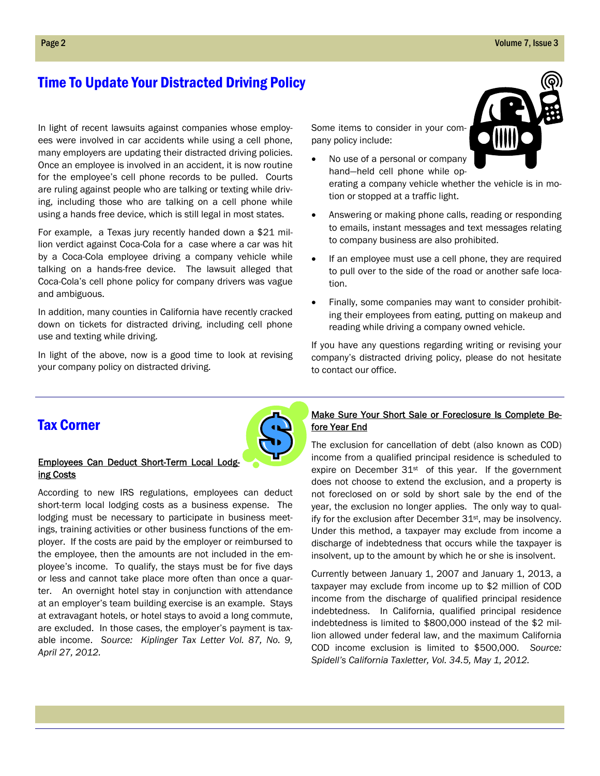## Time To Update Your Distracted Driving Policy

In light of recent lawsuits against companies whose employees were involved in car accidents while using a cell phone, many employers are updating their distracted driving policies. Once an employee is involved in an accident, it is now routine for the employee's cell phone records to be pulled. Courts are ruling against people who are talking or texting while driving, including those who are talking on a cell phone while using a hands free device, which is still legal in most states.

For example, a Texas jury recently handed down a \$21 million verdict against Coca-Cola for a case where a car was hit by a Coca-Cola employee driving a company vehicle while talking on a hands-free device. The lawsuit alleged that Coca-Cola's cell phone policy for company drivers was vague and ambiguous.

In addition, many counties in California have recently cracked down on tickets for distracted driving, including cell phone use and texting while driving.

In light of the above, now is a good time to look at revising your company policy on distracted driving.

Some items to consider in your company policy include:

tion or stopped at a traffic light.



- No use of a personal or company hand—held cell phone while operating a company vehicle whether the vehicle is in mo-
	- Answering or making phone calls, reading or responding to emails, instant messages and text messages relating to company business are also prohibited.
	- If an employee must use a cell phone, they are required to pull over to the side of the road or another safe location.
	- Finally, some companies may want to consider prohibiting their employees from eating, putting on makeup and reading while driving a company owned vehicle.

If you have any questions regarding writing or revising your company's distracted driving policy, please do not hesitate to contact our office.

### Tax Corner



#### Employees Can Deduct Short-Term Local Lodging Costs

According to new IRS regulations, employees can deduct short-term local lodging costs as a business expense. The lodging must be necessary to participate in business meetings, training activities or other business functions of the employer. If the costs are paid by the employer or reimbursed to the employee, then the amounts are not included in the employee's income. To qualify, the stays must be for five days or less and cannot take place more often than once a quarter. An overnight hotel stay in conjunction with attendance at an employer's team building exercise is an example. Stays at extravagant hotels, or hotel stays to avoid a long commute, are excluded. In those cases, the employer's payment is taxable income. *Source: Kiplinger Tax Letter Vol. 87, No. 9, April 27, 2012.* 

#### Make Sure Your Short Sale or Foreclosure Is Complete Before Year End

The exclusion for cancellation of debt (also known as COD) income from a qualified principal residence is scheduled to expire on December  $31<sup>st</sup>$  of this year. If the government does not choose to extend the exclusion, and a property is not foreclosed on or sold by short sale by the end of the year, the exclusion no longer applies. The only way to qualify for the exclusion after December 31st, may be insolvency. Under this method, a taxpayer may exclude from income a discharge of indebtedness that occurs while the taxpayer is insolvent, up to the amount by which he or she is insolvent.

Currently between January 1, 2007 and January 1, 2013, a taxpayer may exclude from income up to \$2 million of COD income from the discharge of qualified principal residence indebtedness. In California, qualified principal residence indebtedness is limited to \$800,000 instead of the \$2 million allowed under federal law, and the maximum California COD income exclusion is limited to \$500,000. *Source: Spidell's California Taxletter, Vol. 34.5, May 1, 2012.*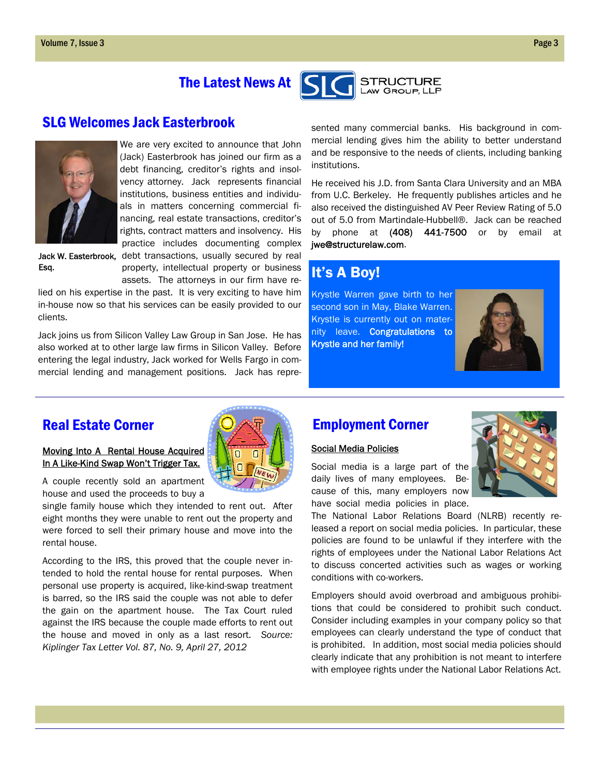# The Latest News At



#### SLG Welcomes Jack Easterbrook



We are very excited to announce that John (Jack) Easterbrook has joined our firm as a debt financing, creditor's rights and insolvency attorney. Jack represents financial institutions, business entities and individuals in matters concerning commercial financing, real estate transactions, creditor's rights, contract matters and insolvency. His practice includes documenting complex

Jack W. Easterbrook, debt transactions, usually secured by real Esq.

property, intellectual property or business assets. The attorneys in our firm have re-

lied on his expertise in the past. It is very exciting to have him in-house now so that his services can be easily provided to our clients.

Jack joins us from Silicon Valley Law Group in San Jose. He has also worked at to other large law firms in Silicon Valley. Before entering the legal industry, Jack worked for Wells Fargo in commercial lending and management positions. Jack has represented many commercial banks. His background in commercial lending gives him the ability to better understand and be responsive to the needs of clients, including banking institutions.

He received his J.D. from Santa Clara University and an MBA from U.C. Berkeley. He frequently publishes articles and he also received the distinguished AV Peer Review Rating of 5.0 out of 5.0 from Martindale-Hubbell®. Jack can be reached by phone at  $(408)$   $441-7500$  or by email at jwe@structurelaw.com.

# It's A Boy!

Krystle Warren gave birth to her second son in May, Blake Warren. Krystle is currently out on maternity leave. Congratulations to Krystle and her family!



## Real Estate Corner

#### Moving Into A Rental House Acquired In A Like-Kind Swap Won't Trigger Tax.

A couple recently sold an apartment house and used the proceeds to buy a

single family house which they intended to rent out. After eight months they were unable to rent out the property and were forced to sell their primary house and move into the rental house.

According to the IRS, this proved that the couple never intended to hold the rental house for rental purposes. When personal use property is acquired, like-kind-swap treatment is barred, so the IRS said the couple was not able to defer the gain on the apartment house. The Tax Court ruled against the IRS because the couple made efforts to rent out the house and moved in only as a last resort. *Source: Kiplinger Tax Letter Vol. 87, No. 9, April 27, 2012*

## Employment Corner

#### Social Media Policies

Social media is a large part of the daily lives of many employees. Because of this, many employers now have social media policies in place.



The National Labor Relations Board (NLRB) recently released a report on social media policies. In particular, these policies are found to be unlawful if they interfere with the rights of employees under the National Labor Relations Act to discuss concerted activities such as wages or working conditions with co-workers.

Employers should avoid overbroad and ambiguous prohibitions that could be considered to prohibit such conduct. Consider including examples in your company policy so that employees can clearly understand the type of conduct that is prohibited. In addition, most social media policies should clearly indicate that any prohibition is not meant to interfere with employee rights under the National Labor Relations Act.